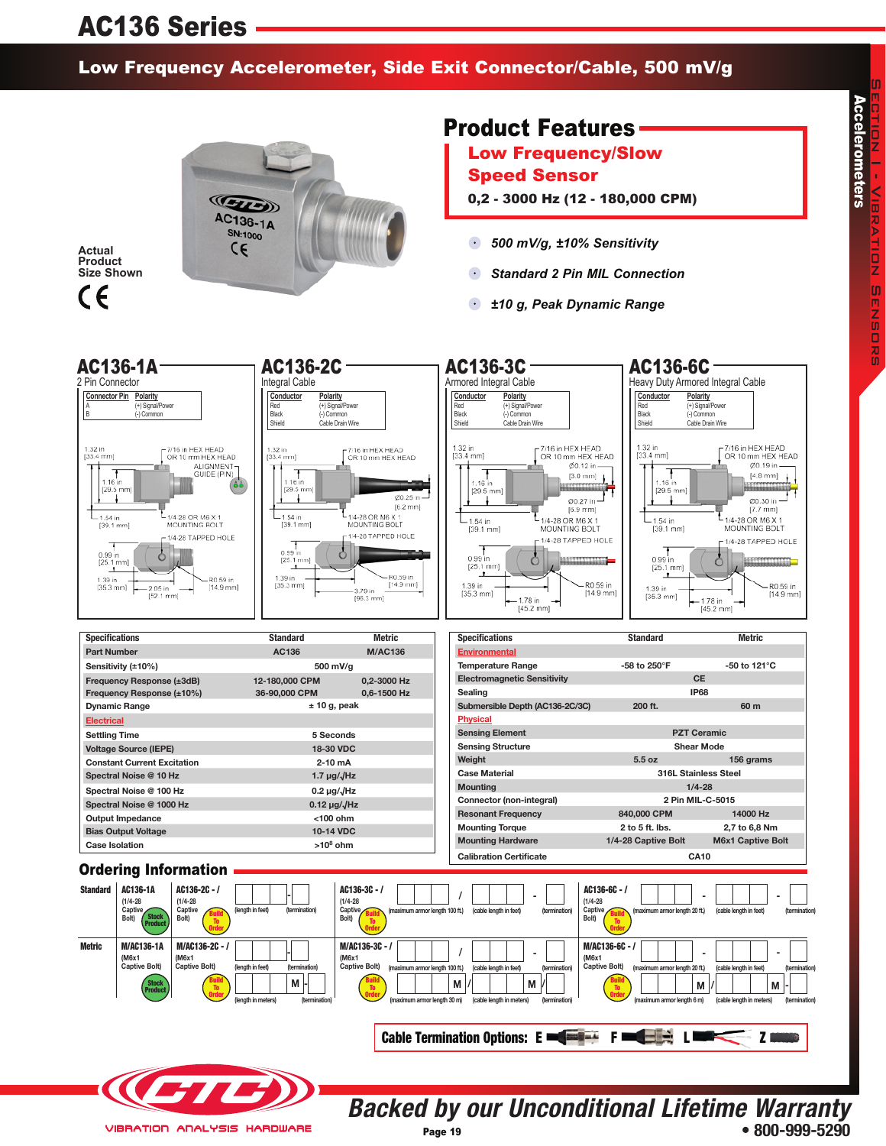# AC136 Series

#### Low Frequency Accelerometer, Side Exit Connector/Cable, 500 mV/g



**Actual Product Size Shown**



### Product Features

Low Frequency/Slow Speed Sensor

- 0,2 3000 Hz (12 180,000 CPM)
- $\bullet$ *500 mV/g, ±10% Sensitivity*
- $\bullet$ *Standard 2 Pin MIL Connection*
- $\bullet$ *±10 g, Peak Dynamic Range*



**• 800-999-5290**

Page 19